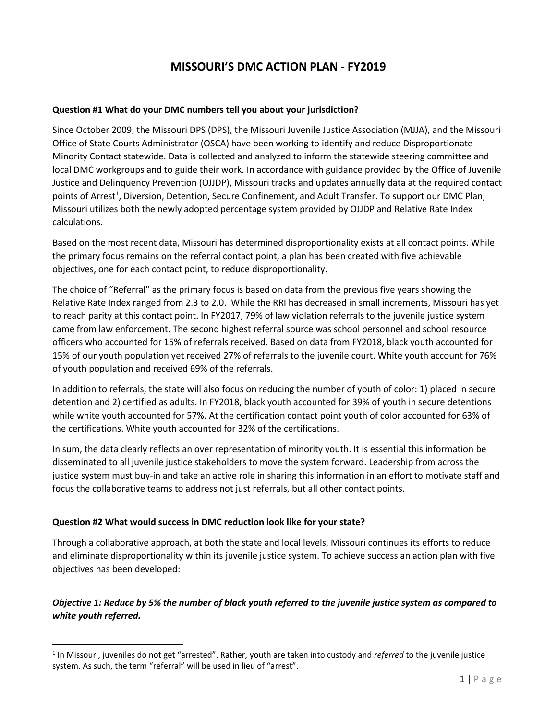# **MISSOURI'S DMC ACTION PLAN - FY2019**

#### **Question #1 What do your DMC numbers tell you about your jurisdiction?**

Since October 2009, the Missouri DPS (DPS), the Missouri Juvenile Justice Association (MJJA), and the Missouri Office of State Courts Administrator (OSCA) have been working to identify and reduce Disproportionate Minority Contact statewide. Data is collected and analyzed to inform the statewide steering committee and local DMC workgroups and to guide their work. In accordance with guidance provided by the Office of Juvenile Justice and Delinquency Prevention (OJJDP), Missouri tracks and updates annually data at the required contact points of Arrest<sup>1</sup>, Diversion, Detention, Secure Confinement, and Adult Transfer. To support our DMC Plan, Missouri utilizes both the newly adopted percentage system provided by OJJDP and Relative Rate Index calculations.

Based on the most recent data, Missouri has determined disproportionality exists at all contact points. While the primary focus remains on the referral contact point, a plan has been created with five achievable objectives, one for each contact point, to reduce disproportionality.

The choice of "Referral" as the primary focus is based on data from the previous five years showing the Relative Rate Index ranged from 2.3 to 2.0. While the RRI has decreased in small increments, Missouri has yet to reach parity at this contact point. In FY2017, 79% of law violation referrals to the juvenile justice system came from law enforcement. The second highest referral source was school personnel and school resource officers who accounted for 15% of referrals received. Based on data from FY2018, black youth accounted for 15% of our youth population yet received 27% of referrals to the juvenile court. White youth account for 76% of youth population and received 69% of the referrals.

In addition to referrals, the state will also focus on reducing the number of youth of color: 1) placed in secure detention and 2) certified as adults. In FY2018, black youth accounted for 39% of youth in secure detentions while white youth accounted for 57%. At the certification contact point youth of color accounted for 63% of the certifications. White youth accounted for 32% of the certifications.

In sum, the data clearly reflects an over representation of minority youth. It is essential this information be disseminated to all juvenile justice stakeholders to move the system forward. Leadership from across the justice system must buy-in and take an active role in sharing this information in an effort to motivate staff and focus the collaborative teams to address not just referrals, but all other contact points.

#### **Question #2 What would success in DMC reduction look like for your state?**

 $\overline{a}$ 

Through a collaborative approach, at both the state and local levels, Missouri continues its efforts to reduce and eliminate disproportionality within its juvenile justice system. To achieve success an action plan with five objectives has been developed:

# *Objective 1: Reduce by 5% the number of black youth referred to the juvenile justice system as compared to white youth referred.*

<sup>&</sup>lt;sup>1</sup> In Missouri, juveniles do not get "arrested". Rather, youth are taken into custody and *referred* to the juvenile justice system. As such, the term "referral" will be used in lieu of "arrest".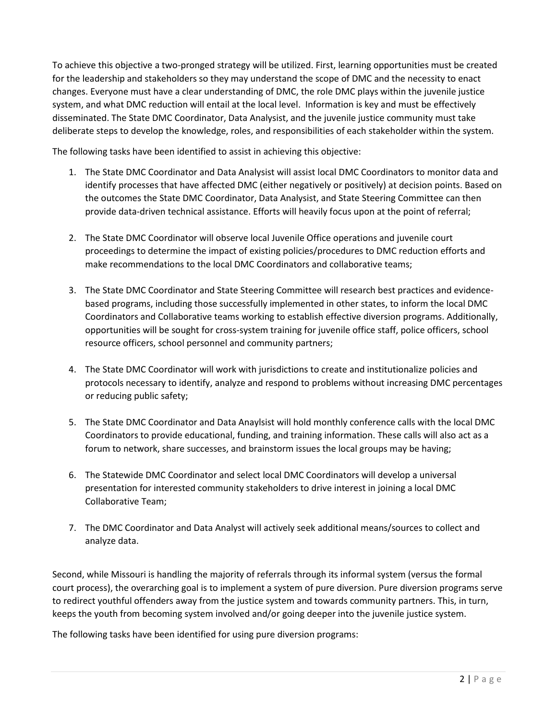To achieve this objective a two-pronged strategy will be utilized. First, learning opportunities must be created for the leadership and stakeholders so they may understand the scope of DMC and the necessity to enact changes. Everyone must have a clear understanding of DMC, the role DMC plays within the juvenile justice system, and what DMC reduction will entail at the local level. Information is key and must be effectively disseminated. The State DMC Coordinator, Data Analysist, and the juvenile justice community must take deliberate steps to develop the knowledge, roles, and responsibilities of each stakeholder within the system.

The following tasks have been identified to assist in achieving this objective:

- 1. The State DMC Coordinator and Data Analysist will assist local DMC Coordinators to monitor data and identify processes that have affected DMC (either negatively or positively) at decision points. Based on the outcomes the State DMC Coordinator, Data Analysist, and State Steering Committee can then provide data-driven technical assistance. Efforts will heavily focus upon at the point of referral;
- 2. The State DMC Coordinator will observe local Juvenile Office operations and juvenile court proceedings to determine the impact of existing policies/procedures to DMC reduction efforts and make recommendations to the local DMC Coordinators and collaborative teams;
- 3. The State DMC Coordinator and State Steering Committee will research best practices and evidencebased programs, including those successfully implemented in other states, to inform the local DMC Coordinators and Collaborative teams working to establish effective diversion programs. Additionally, opportunities will be sought for cross-system training for juvenile office staff, police officers, school resource officers, school personnel and community partners;
- 4. The State DMC Coordinator will work with jurisdictions to create and institutionalize policies and protocols necessary to identify, analyze and respond to problems without increasing DMC percentages or reducing public safety;
- 5. The State DMC Coordinator and Data Anaylsist will hold monthly conference calls with the local DMC Coordinators to provide educational, funding, and training information. These calls will also act as a forum to network, share successes, and brainstorm issues the local groups may be having;
- 6. The Statewide DMC Coordinator and select local DMC Coordinators will develop a universal presentation for interested community stakeholders to drive interest in joining a local DMC Collaborative Team;
- 7. The DMC Coordinator and Data Analyst will actively seek additional means/sources to collect and analyze data.

Second, while Missouri is handling the majority of referrals through its informal system (versus the formal court process), the overarching goal is to implement a system of pure diversion. Pure diversion programs serve to redirect youthful offenders away from the justice system and towards community partners. This, in turn, keeps the youth from becoming system involved and/or going deeper into the juvenile justice system.

The following tasks have been identified for using pure diversion programs: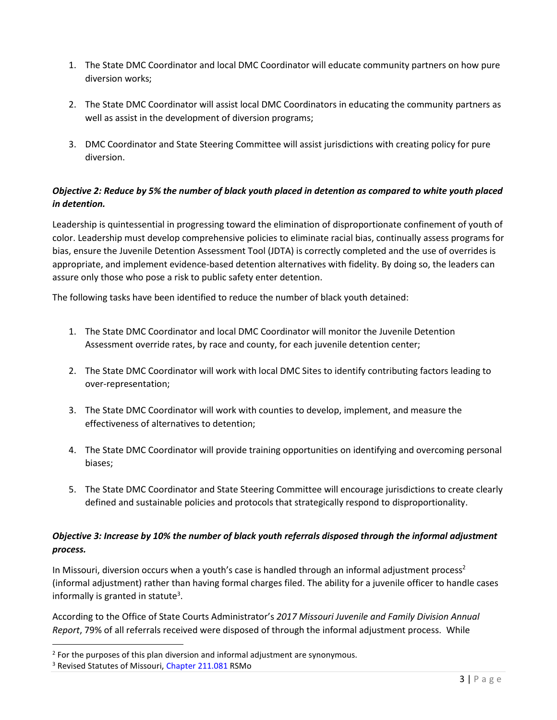- 1. The State DMC Coordinator and local DMC Coordinator will educate community partners on how pure diversion works;
- 2. The State DMC Coordinator will assist local DMC Coordinators in educating the community partners as well as assist in the development of diversion programs;
- 3. DMC Coordinator and State Steering Committee will assist jurisdictions with creating policy for pure diversion.

### *Objective 2: Reduce by 5% the number of black youth placed in detention as compared to white youth placed in detention.*

Leadership is quintessential in progressing toward the elimination of disproportionate confinement of youth of color. Leadership must develop comprehensive policies to eliminate racial bias, continually assess programs for bias, ensure the Juvenile Detention Assessment Tool (JDTA) is correctly completed and the use of overrides is appropriate, and implement evidence-based detention alternatives with fidelity. By doing so, the leaders can assure only those who pose a risk to public safety enter detention.

The following tasks have been identified to reduce the number of black youth detained:

- 1. The State DMC Coordinator and local DMC Coordinator will monitor the Juvenile Detention Assessment override rates, by race and county, for each juvenile detention center;
- 2. The State DMC Coordinator will work with local DMC Sites to identify contributing factors leading to over-representation;
- 3. The State DMC Coordinator will work with counties to develop, implement, and measure the effectiveness of alternatives to detention;
- 4. The State DMC Coordinator will provide training opportunities on identifying and overcoming personal biases;
- 5. The State DMC Coordinator and State Steering Committee will encourage jurisdictions to create clearly defined and sustainable policies and protocols that strategically respond to disproportionality.

# *Objective 3: Increase by 10% the number of black youth referrals disposed through the informal adjustment process.*

In Missouri, diversion occurs when a youth's case is handled through an informal adjustment process<sup>2</sup> (informal adjustment) rather than having formal charges filed. The ability for a juvenile officer to handle cases informally is granted in statute<sup>3</sup>.

According to the Office of State Courts Administrator's *2017 Missouri Juvenile and Family Division Annual Report*, 79% of all referrals received were disposed of through the informal adjustment process. While

 $\overline{a}$ 

 $2$  For the purposes of this plan diversion and informal adjustment are synonymous.

<sup>&</sup>lt;sup>3</sup> Revised Statutes of Missouri, [Chapter 211.081](http://revisor.mo.gov/main/OneSection.aspx?section=211.081&bid=35438&hl=) RSMo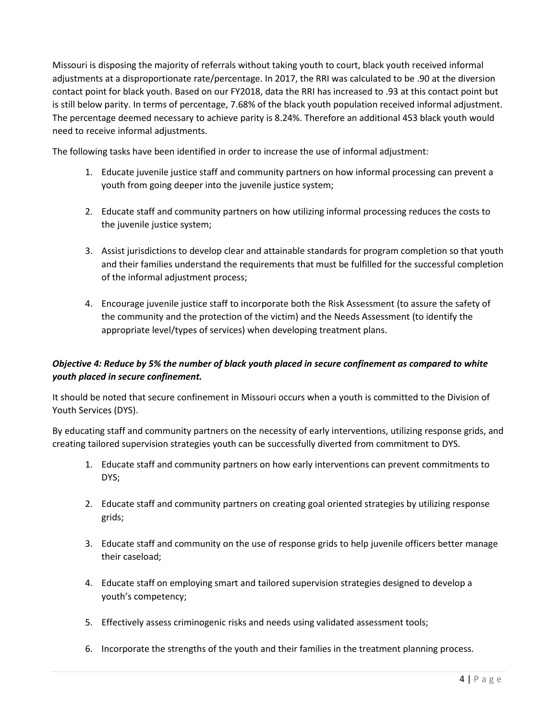Missouri is disposing the majority of referrals without taking youth to court, black youth received informal adjustments at a disproportionate rate/percentage. In 2017, the RRI was calculated to be .90 at the diversion contact point for black youth. Based on our FY2018, data the RRI has increased to .93 at this contact point but is still below parity. In terms of percentage, 7.68% of the black youth population received informal adjustment. The percentage deemed necessary to achieve parity is 8.24%. Therefore an additional 453 black youth would need to receive informal adjustments.

The following tasks have been identified in order to increase the use of informal adjustment:

- 1. Educate juvenile justice staff and community partners on how informal processing can prevent a youth from going deeper into the juvenile justice system;
- 2. Educate staff and community partners on how utilizing informal processing reduces the costs to the juvenile justice system;
- 3. Assist jurisdictions to develop clear and attainable standards for program completion so that youth and their families understand the requirements that must be fulfilled for the successful completion of the informal adjustment process;
- 4. Encourage juvenile justice staff to incorporate both the Risk Assessment (to assure the safety of the community and the protection of the victim) and the Needs Assessment (to identify the appropriate level/types of services) when developing treatment plans.

# *Objective 4: Reduce by 5% the number of black youth placed in secure confinement as compared to white youth placed in secure confinement.*

It should be noted that secure confinement in Missouri occurs when a youth is committed to the Division of Youth Services (DYS).

By educating staff and community partners on the necessity of early interventions, utilizing response grids, and creating tailored supervision strategies youth can be successfully diverted from commitment to DYS.

- 1. Educate staff and community partners on how early interventions can prevent commitments to DYS;
- 2. Educate staff and community partners on creating goal oriented strategies by utilizing response grids;
- 3. Educate staff and community on the use of response grids to help juvenile officers better manage their caseload;
- 4. Educate staff on employing smart and tailored supervision strategies designed to develop a youth's competency;
- 5. Effectively assess criminogenic risks and needs using validated assessment tools;
- 6. Incorporate the strengths of the youth and their families in the treatment planning process.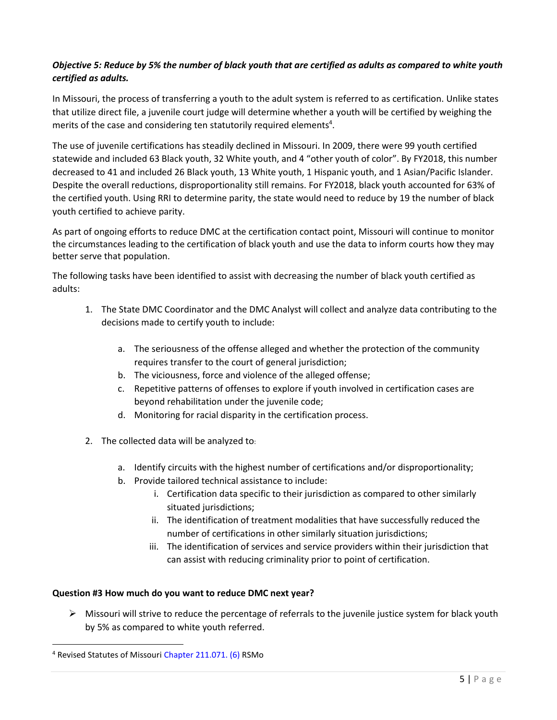### *Objective 5: Reduce by 5% the number of black youth that are certified as adults as compared to white youth certified as adults.*

In Missouri, the process of transferring a youth to the adult system is referred to as certification. Unlike states that utilize direct file, a juvenile court judge will determine whether a youth will be certified by weighing the merits of the case and considering ten statutorily required elements<sup>4</sup>.

The use of juvenile certifications has steadily declined in Missouri. In 2009, there were 99 youth certified statewide and included 63 Black youth, 32 White youth, and 4 "other youth of color". By FY2018, this number decreased to 41 and included 26 Black youth, 13 White youth, 1 Hispanic youth, and 1 Asian/Pacific Islander. Despite the overall reductions, disproportionality still remains. For FY2018, black youth accounted for 63% of the certified youth. Using RRI to determine parity, the state would need to reduce by 19 the number of black youth certified to achieve parity.

As part of ongoing efforts to reduce DMC at the certification contact point, Missouri will continue to monitor the circumstances leading to the certification of black youth and use the data to inform courts how they may better serve that population.

The following tasks have been identified to assist with decreasing the number of black youth certified as adults:

- 1. The State DMC Coordinator and the DMC Analyst will collect and analyze data contributing to the decisions made to certify youth to include:
	- a. The seriousness of the offense alleged and whether the protection of the community requires transfer to the court of general jurisdiction;
	- b. The viciousness, force and violence of the alleged offense;
	- c. Repetitive patterns of offenses to explore if youth involved in certification cases are beyond rehabilitation under the juvenile code;
	- d. Monitoring for racial disparity in the certification process.
- 2. The collected data will be analyzed to:
	- a. Identify circuits with the highest number of certifications and/or disproportionality;
	- b. Provide tailored technical assistance to include:
		- i. Certification data specific to their jurisdiction as compared to other similarly situated jurisdictions;
		- ii. The identification of treatment modalities that have successfully reduced the number of certifications in other similarly situation jurisdictions;
		- iii. The identification of services and service providers within their jurisdiction that can assist with reducing criminality prior to point of certification.

#### **Question #3 How much do you want to reduce DMC next year?**

 $\triangleright$  Missouri will strive to reduce the percentage of referrals to the juvenile justice system for black youth by 5% as compared to white youth referred.

 $\overline{a}$ 

<sup>4</sup> Revised Statutes of Missouri Chapter [211.071.](http://revisor.mo.gov/main/OneSection.aspx?section=211.071&bid=11490&hl=) (6) RSMo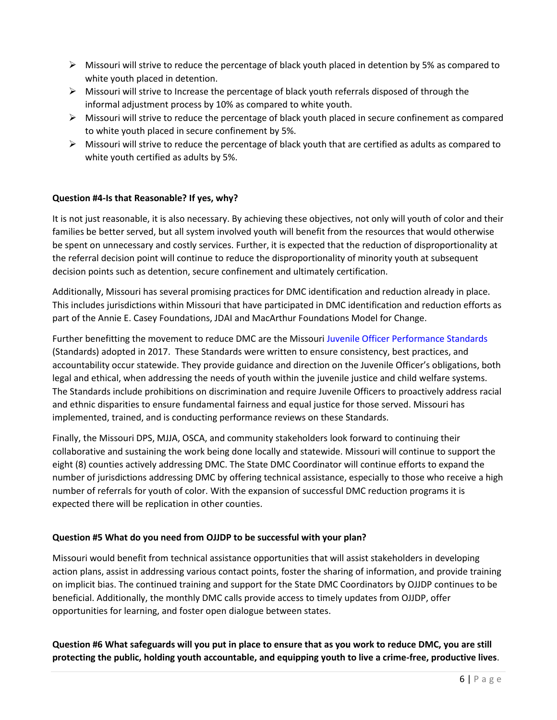- $\triangleright$  Missouri will strive to reduce the percentage of black youth placed in detention by 5% as compared to white youth placed in detention.
- $\triangleright$  Missouri will strive to Increase the percentage of black youth referrals disposed of through the informal adjustment process by 10% as compared to white youth.
- $\triangleright$  Missouri will strive to reduce the percentage of black youth placed in secure confinement as compared to white youth placed in secure confinement by 5%.
- $\triangleright$  Missouri will strive to reduce the percentage of black youth that are certified as adults as compared to white youth certified as adults by 5%.

#### **Question #4-Is that Reasonable? If yes, why?**

It is not just reasonable, it is also necessary. By achieving these objectives, not only will youth of color and their families be better served, but all system involved youth will benefit from the resources that would otherwise be spent on unnecessary and costly services. Further, it is expected that the reduction of disproportionality at the referral decision point will continue to reduce the disproportionality of minority youth at subsequent decision points such as detention, secure confinement and ultimately certification.

Additionally, Missouri has several promising practices for DMC identification and reduction already in place. This includes jurisdictions within Missouri that have participated in DMC identification and reduction efforts as part of the Annie E. Casey Foundations, JDAI and MacArthur Foundations Model for Change.

Further benefitting the movement to reduce DMC are the Missouri [Juvenile Officer Performance Standards](https://www.courts.mo.gov/file.jsp?id=304) (Standards) adopted in 2017. These Standards were written to ensure consistency, best practices, and accountability occur statewide. They provide guidance and direction on the Juvenile Officer's obligations, both legal and ethical, when addressing the needs of youth within the juvenile justice and child welfare systems. The Standards include prohibitions on discrimination and require Juvenile Officers to proactively address racial and ethnic disparities to ensure fundamental fairness and equal justice for those served. Missouri has implemented, trained, and is conducting performance reviews on these Standards.

Finally, the Missouri DPS, MJJA, OSCA, and community stakeholders look forward to continuing their collaborative and sustaining the work being done locally and statewide. Missouri will continue to support the eight (8) counties actively addressing DMC. The State DMC Coordinator will continue efforts to expand the number of jurisdictions addressing DMC by offering technical assistance, especially to those who receive a high number of referrals for youth of color. With the expansion of successful DMC reduction programs it is expected there will be replication in other counties.

#### **Question #5 What do you need from OJJDP to be successful with your plan?**

Missouri would benefit from technical assistance opportunities that will assist stakeholders in developing action plans, assist in addressing various contact points, foster the sharing of information, and provide training on implicit bias. The continued training and support for the State DMC Coordinators by OJJDP continues to be beneficial. Additionally, the monthly DMC calls provide access to timely updates from OJJDP, offer opportunities for learning, and foster open dialogue between states.

**Question #6 What safeguards will you put in place to ensure that as you work to reduce DMC, you are still protecting the public, holding youth accountable, and equipping youth to live a crime-free, productive lives**.